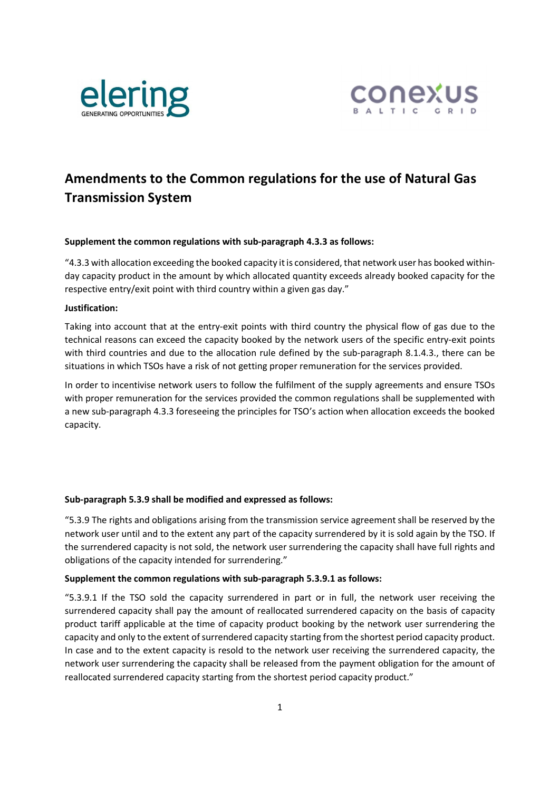



# **Amendments to the Common regulations for the use of Natural Gas Transmission System**

#### **Supplement the common regulations with sub-paragraph 4.3.3 as follows:**

"4.3.3 with allocation exceeding the booked capacity it is considered, that network user has booked withinday capacity product in the amount by which allocated quantity exceeds already booked capacity for the respective entry/exit point with third country within a given gas day."

#### **Justification:**

Taking into account that at the entry-exit points with third country the physical flow of gas due to the technical reasons can exceed the capacity booked by the network users of the specific entry-exit points with third countries and due to the allocation rule defined by the sub-paragraph 8.1.4.3., there can be situations in which TSOs have a risk of not getting proper remuneration for the services provided.

In order to incentivise network users to follow the fulfilment of the supply agreements and ensure TSOs with proper remuneration for the services provided the common regulations shall be supplemented with a new sub-paragraph 4.3.3 foreseeing the principles for TSO's action when allocation exceeds the booked capacity.

#### **Sub-paragraph 5.3.9 shall be modified and expressed as follows:**

"5.3.9 The rights and obligations arising from the transmission service agreement shall be reserved by the network user until and to the extent any part of the capacity surrendered by it is sold again by the TSO. If the surrendered capacity is not sold, the network user surrendering the capacity shall have full rights and obligations of the capacity intended for surrendering."

#### **Supplement the common regulations with sub-paragraph 5.3.9.1 as follows:**

"5.3.9.1 If the TSO sold the capacity surrendered in part or in full, the network user receiving the surrendered capacity shall pay the amount of reallocated surrendered capacity on the basis of capacity product tariff applicable at the time of capacity product booking by the network user surrendering the capacity and only to the extent of surrendered capacity starting from the shortest period capacity product. In case and to the extent capacity is resold to the network user receiving the surrendered capacity, the network user surrendering the capacity shall be released from the payment obligation for the amount of reallocated surrendered capacity starting from the shortest period capacity product."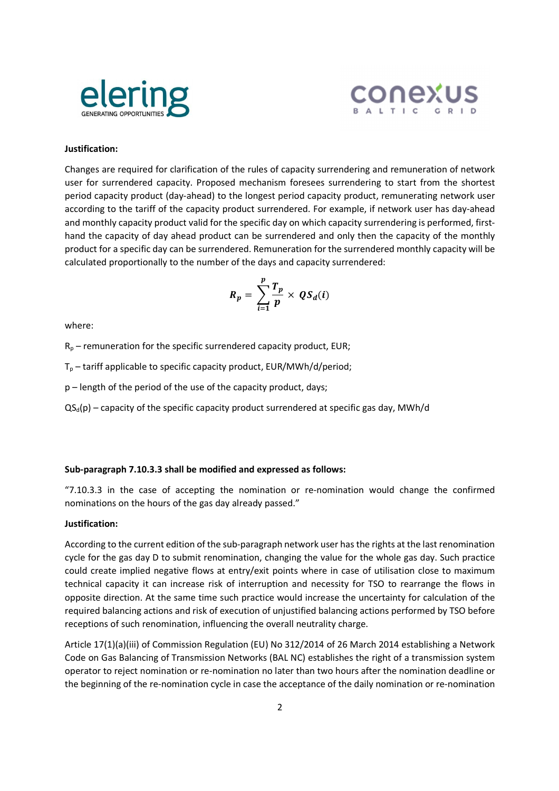



## **Justification:**

Changes are required for clarification of the rules of capacity surrendering and remuneration of network user for surrendered capacity. Proposed mechanism foresees surrendering to start from the shortest period capacity product (day-ahead) to the longest period capacity product, remunerating network user according to the tariff of the capacity product surrendered. For example, if network user has day-ahead and monthly capacity product valid for the specific day on which capacity surrendering is performed, firsthand the capacity of day ahead product can be surrendered and only then the capacity of the monthly product for a specific day can be surrendered. Remuneration for the surrendered monthly capacity will be calculated proportionally to the number of the days and capacity surrendered:

$$
R_p = \sum_{i=1}^p \frac{T_p}{p} \times QS_d(i)
$$

where:

 $R_p$  – remuneration for the specific surrendered capacity product, EUR;

 $T_p$  – tariff applicable to specific capacity product, EUR/MWh/d/period;

p – length of the period of the use of the capacity product, days;

 $QS_d(p)$  – capacity of the specific capacity product surrendered at specific gas day, MWh/d

#### **Sub-paragraph 7.10.3.3 shall be modified and expressed as follows:**

"7.10.3.3 in the case of accepting the nomination or re-nomination would change the confirmed nominations on the hours of the gas day already passed."

#### **Justification:**

According to the current edition of the sub-paragraph network user has the rights at the last renomination cycle for the gas day D to submit renomination, changing the value for the whole gas day. Such practice could create implied negative flows at entry/exit points where in case of utilisation close to maximum technical capacity it can increase risk of interruption and necessity for TSO to rearrange the flows in opposite direction. At the same time such practice would increase the uncertainty for calculation of the required balancing actions and risk of execution of unjustified balancing actions performed by TSO before receptions of such renomination, influencing the overall neutrality charge.

Article 17(1)(a)(iii) of Commission Regulation (EU) No 312/2014 of 26 March 2014 establishing a Network Code on Gas Balancing of Transmission Networks (BAL NC) establishes the right of a transmission system operator to reject nomination or re-nomination no later than two hours after the nomination deadline or the beginning of the re-nomination cycle in case the acceptance of the daily nomination or re-nomination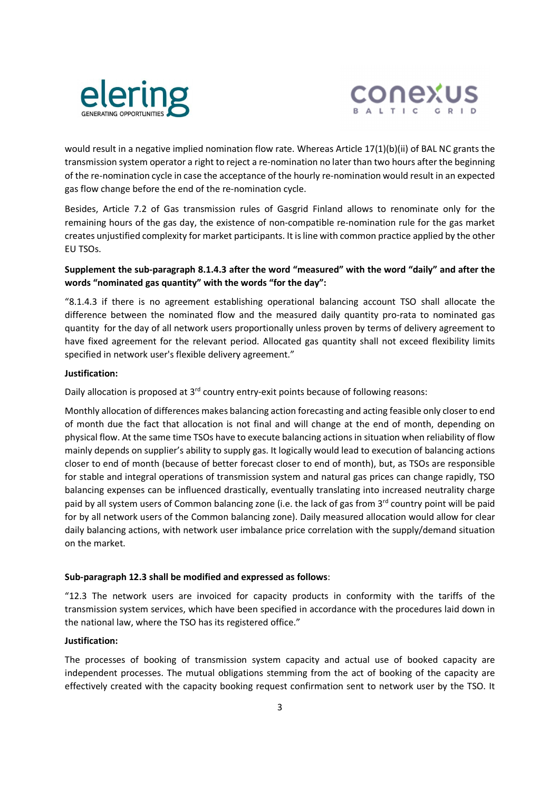



would result in a negative implied nomination flow rate. Whereas Article 17(1)(b)(ii) of BAL NC grants the transmission system operator a right to reject a re-nomination no later than two hours after the beginning of the re-nomination cycle in case the acceptance of the hourly re-nomination would result in an expected gas flow change before the end of the re-nomination cycle.

Besides, Article 7.2 of Gas transmission rules of Gasgrid Finland allows to renominate only for the remaining hours of the gas day, the existence of non-compatible re-nomination rule for the gas market creates unjustified complexity for market participants. It is line with common practice applied by the other EU TSOs.

# **Supplement the sub-paragraph 8.1.4.3 after the word "measured" with the word "daily" and after the words "nominated gas quantity" with the words "for the day":**

"8.1.4.3 if there is no agreement establishing operational balancing account TSO shall allocate the difference between the nominated flow and the measured daily quantity pro-rata to nominated gas quantity for the day of all network users proportionally unless proven by terms of delivery agreement to have fixed agreement for the relevant period. Allocated gas quantity shall not exceed flexibility limits specified in network user's flexible delivery agreement."

## **Justification:**

Daily allocation is proposed at 3<sup>rd</sup> country entry-exit points because of following reasons:

Monthly allocation of differences makes balancing action forecasting and acting feasible only closer to end of month due the fact that allocation is not final and will change at the end of month, depending on physical flow. At the same time TSOs have to execute balancing actions in situation when reliability of flow mainly depends on supplier's ability to supply gas. It logically would lead to execution of balancing actions closer to end of month (because of better forecast closer to end of month), but, as TSOs are responsible for stable and integral operations of transmission system and natural gas prices can change rapidly, TSO balancing expenses can be influenced drastically, eventually translating into increased neutrality charge paid by all system users of Common balancing zone (i.e. the lack of gas from 3<sup>rd</sup> country point will be paid for by all network users of the Common balancing zone). Daily measured allocation would allow for clear daily balancing actions, with network user imbalance price correlation with the supply/demand situation on the market.

## **Sub-paragraph 12.3 shall be modified and expressed as follows**:

"12.3 The network users are invoiced for capacity products in conformity with the tariffs of the transmission system services, which have been specified in accordance with the procedures laid down in the national law, where the TSO has its registered office."

# **Justification:**

The processes of booking of transmission system capacity and actual use of booked capacity are independent processes. The mutual obligations stemming from the act of booking of the capacity are effectively created with the capacity booking request confirmation sent to network user by the TSO. It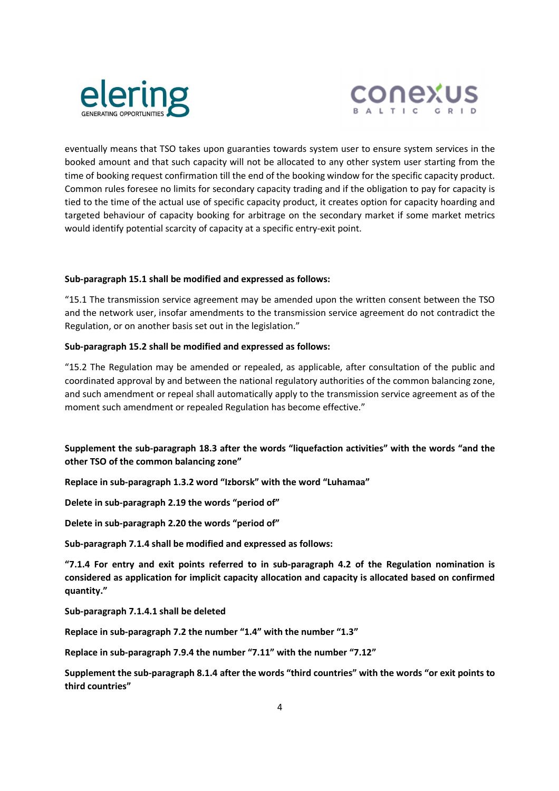



eventually means that TSO takes upon guaranties towards system user to ensure system services in the booked amount and that such capacity will not be allocated to any other system user starting from the time of booking request confirmation till the end of the booking window for the specific capacity product. Common rules foresee no limits for secondary capacity trading and if the obligation to pay for capacity is tied to the time of the actual use of specific capacity product, it creates option for capacity hoarding and targeted behaviour of capacity booking for arbitrage on the secondary market if some market metrics would identify potential scarcity of capacity at a specific entry-exit point.

#### **Sub-paragraph 15.1 shall be modified and expressed as follows:**

"15.1 The transmission service agreement may be amended upon the written consent between the TSO and the network user, insofar amendments to the transmission service agreement do not contradict the Regulation, or on another basis set out in the legislation."

## **Sub-paragraph 15.2 shall be modified and expressed as follows:**

"15.2 The Regulation may be amended or repealed, as applicable, after consultation of the public and coordinated approval by and between the national regulatory authorities of the common balancing zone, and such amendment or repeal shall automatically apply to the transmission service agreement as of the moment such amendment or repealed Regulation has become effective."

**Supplement the sub-paragraph 18.3 after the words "liquefaction activities" with the words "and the other TSO of the common balancing zone"** 

**Replace in sub-paragraph 1.3.2 word "Izborsk" with the word "Luhamaa"** 

**Delete in sub-paragraph 2.19 the words "period of"** 

**Delete in sub-paragraph 2.20 the words "period of"** 

**Sub-paragraph 7.1.4 shall be modified and expressed as follows:** 

**"7.1.4 For entry and exit points referred to in sub-paragraph 4.2 of the Regulation nomination is considered as application for implicit capacity allocation and capacity is allocated based on confirmed quantity."** 

**Sub-paragraph 7.1.4.1 shall be deleted** 

**Replace in sub-paragraph 7.2 the number "1.4" with the number "1.3"** 

**Replace in sub-paragraph 7.9.4 the number "7.11" with the number "7.12"** 

**Supplement the sub-paragraph 8.1.4 after the words "third countries" with the words "or exit points to third countries"**